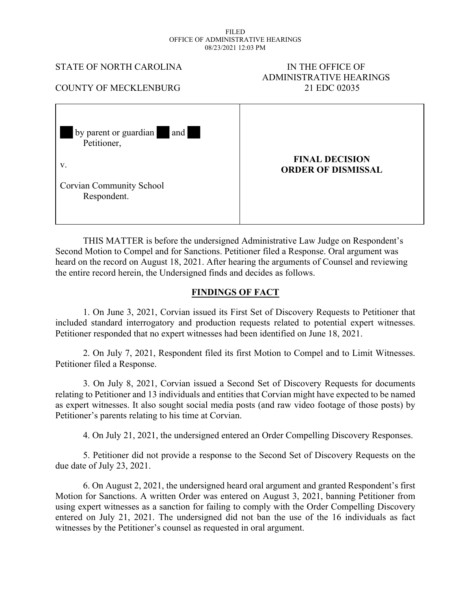#### FILED OFFICE OF ADMINISTRATIVE HEARINGS 08/23/2021 12:03 PM

#### STATE OF NORTH CAROLINA IN THE OFFICE OF

# ADMINISTRATIVE HEARINGS COUNTY OF MECKLENBURG 21 EDC 02035

| by parent or guardian and<br>Petitioner,       |                                                    |
|------------------------------------------------|----------------------------------------------------|
| V.                                             | <b>FINAL DECISION</b><br><b>ORDER OF DISMISSAL</b> |
| <b>Corvian Community School</b><br>Respondent. |                                                    |

THIS MATTER is before the undersigned Administrative Law Judge on Respondent's Second Motion to Compel and for Sanctions. Petitioner filed a Response. Oral argument was heard on the record on August 18, 2021. After hearing the arguments of Counsel and reviewing the entire record herein, the Undersigned finds and decides as follows.

## **FINDINGS OF FACT**

1. On June 3, 2021, Corvian issued its First Set of Discovery Requests to Petitioner that included standard interrogatory and production requests related to potential expert witnesses. Petitioner responded that no expert witnesses had been identified on June 18, 2021.

2. On July 7, 2021, Respondent filed its first Motion to Compel and to Limit Witnesses. Petitioner filed a Response.

3. On July 8, 2021, Corvian issued a Second Set of Discovery Requests for documents relating to Petitioner and 13 individuals and entities that Corvian might have expected to be named as expert witnesses. It also sought social media posts (and raw video footage of those posts) by Petitioner's parents relating to his time at Corvian.

4. On July 21, 2021, the undersigned entered an Order Compelling Discovery Responses.

5. Petitioner did not provide a response to the Second Set of Discovery Requests on the due date of July 23, 2021.

6. On August 2, 2021, the undersigned heard oral argument and granted Respondent's first Motion for Sanctions. A written Order was entered on August 3, 2021, banning Petitioner from using expert witnesses as a sanction for failing to comply with the Order Compelling Discovery entered on July 21, 2021. The undersigned did not ban the use of the 16 individuals as fact witnesses by the Petitioner's counsel as requested in oral argument.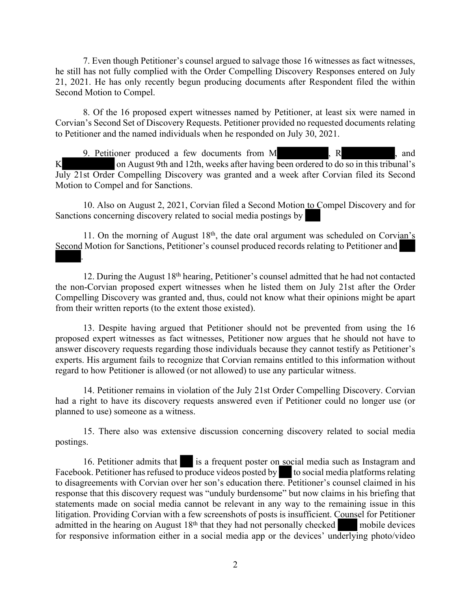7. Even though Petitioner's counsel argued to salvage those 16 witnesses as fact witnesses, he still has not fully complied with the Order Compelling Discovery Responses entered on July 21, 2021. He has only recently begun producing documents after Respondent filed the within Second Motion to Compel.

8. Of the 16 proposed expert witnesses named by Petitioner, at least six were named in Corvian's Second Set of Discovery Requests. Petitioner provided no requested documents relating to Petitioner and the named individuals when he responded on July 30, 2021.

9. Petitioner produced a few documents from M, R, R, and K on August 9th and 12th, weeks after having been ordered to do so in this tribunal's July 21st Order Compelling Discovery was granted and a week after Corvian filed its Second Motion to Compel and for Sanctions.

10. Also on August 2, 2021, Corvian filed a Second Motion to Compel Discovery and for Sanctions concerning discovery related to social media postings by

11. On the morning of August 18<sup>th</sup>, the date oral argument was scheduled on Corvian's Second Motion for Sanctions, Petitioner's counsel produced records relating to Petitioner and .

12. During the August 18th hearing, Petitioner's counsel admitted that he had not contacted the non-Corvian proposed expert witnesses when he listed them on July 21st after the Order Compelling Discovery was granted and, thus, could not know what their opinions might be apart from their written reports (to the extent those existed).

13. Despite having argued that Petitioner should not be prevented from using the 16 proposed expert witnesses as fact witnesses, Petitioner now argues that he should not have to answer discovery requests regarding those individuals because they cannot testify as Petitioner's experts. His argument fails to recognize that Corvian remains entitled to this information without regard to how Petitioner is allowed (or not allowed) to use any particular witness.

14. Petitioner remains in violation of the July 21st Order Compelling Discovery. Corvian had a right to have its discovery requests answered even if Petitioner could no longer use (or planned to use) someone as a witness.

15. There also was extensive discussion concerning discovery related to social media postings.

16. Petitioner admits that is a frequent poster on social media such as Instagram and Facebook. Petitioner has refused to produce videos posted by  $\bullet$  to social media platforms relating to disagreements with Corvian over her son's education there. Petitioner's counsel claimed in his response that this discovery request was "unduly burdensome" but now claims in his briefing that statements made on social media cannot be relevant in any way to the remaining issue in this litigation. Providing Corvian with a few screenshots of posts is insufficient. Counsel for Petitioner admitted in the hearing on August 18<sup>th</sup> that they had not personally checked mobile devices for responsive information either in a social media app or the devices' underlying photo/video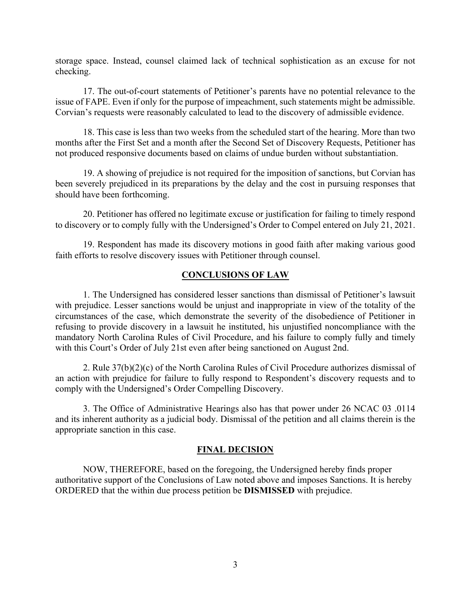storage space. Instead, counsel claimed lack of technical sophistication as an excuse for not checking.

17. The out-of-court statements of Petitioner's parents have no potential relevance to the issue of FAPE. Even if only for the purpose of impeachment, such statements might be admissible. Corvian's requests were reasonably calculated to lead to the discovery of admissible evidence.

18. This case is less than two weeks from the scheduled start of the hearing. More than two months after the First Set and a month after the Second Set of Discovery Requests, Petitioner has not produced responsive documents based on claims of undue burden without substantiation.

19. A showing of prejudice is not required for the imposition of sanctions, but Corvian has been severely prejudiced in its preparations by the delay and the cost in pursuing responses that should have been forthcoming.

20. Petitioner has offered no legitimate excuse or justification for failing to timely respond to discovery or to comply fully with the Undersigned's Order to Compel entered on July 21, 2021.

19. Respondent has made its discovery motions in good faith after making various good faith efforts to resolve discovery issues with Petitioner through counsel.

#### **CONCLUSIONS OF LAW**

1. The Undersigned has considered lesser sanctions than dismissal of Petitioner's lawsuit with prejudice. Lesser sanctions would be unjust and inappropriate in view of the totality of the circumstances of the case, which demonstrate the severity of the disobedience of Petitioner in refusing to provide discovery in a lawsuit he instituted, his unjustified noncompliance with the mandatory North Carolina Rules of Civil Procedure, and his failure to comply fully and timely with this Court's Order of July 21st even after being sanctioned on August 2nd.

2. Rule 37(b)(2)(c) of the North Carolina Rules of Civil Procedure authorizes dismissal of an action with prejudice for failure to fully respond to Respondent's discovery requests and to comply with the Undersigned's Order Compelling Discovery.

3. The Office of Administrative Hearings also has that power under 26 NCAC 03 .0114 and its inherent authority as a judicial body. Dismissal of the petition and all claims therein is the appropriate sanction in this case.

#### **FINAL DECISION**

NOW, THEREFORE, based on the foregoing, the Undersigned hereby finds proper authoritative support of the Conclusions of Law noted above and imposes Sanctions. It is hereby ORDERED that the within due process petition be **DISMISSED** with prejudice.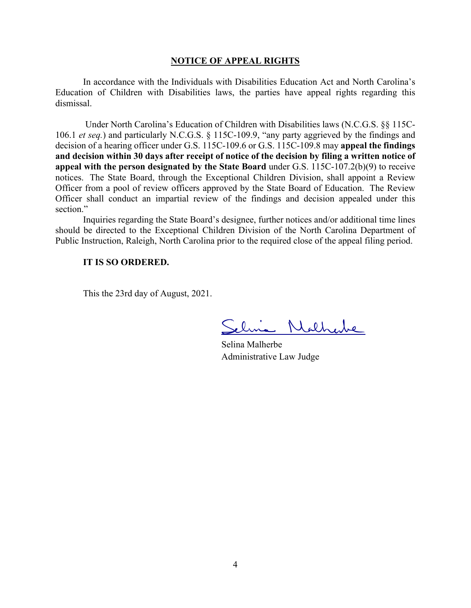#### **NOTICE OF APPEAL RIGHTS**

In accordance with the Individuals with Disabilities Education Act and North Carolina's Education of Children with Disabilities laws, the parties have appeal rights regarding this dismissal.

Under North Carolina's Education of Children with Disabilities laws (N.C.G.S. §§ 115C-106.1 *et seq.*) and particularly N.C.G.S. § 115C-109.9, "any party aggrieved by the findings and decision of a hearing officer under G.S. 115C-109.6 or G.S. 115C-109.8 may **appeal the findings and decision within 30 days after receipt of notice of the decision by filing a written notice of appeal with the person designated by the State Board** under G.S. 115C-107.2(b)(9) to receive notices. The State Board, through the Exceptional Children Division, shall appoint a Review Officer from a pool of review officers approved by the State Board of Education. The Review Officer shall conduct an impartial review of the findings and decision appealed under this section."

Inquiries regarding the State Board's designee, further notices and/or additional time lines should be directed to the Exceptional Children Division of the North Carolina Department of Public Instruction, Raleigh, North Carolina prior to the required close of the appeal filing period.

### **IT IS SO ORDERED.**

This the 23rd day of August, 2021.

Nathere

Selina Malherbe Administrative Law Judge